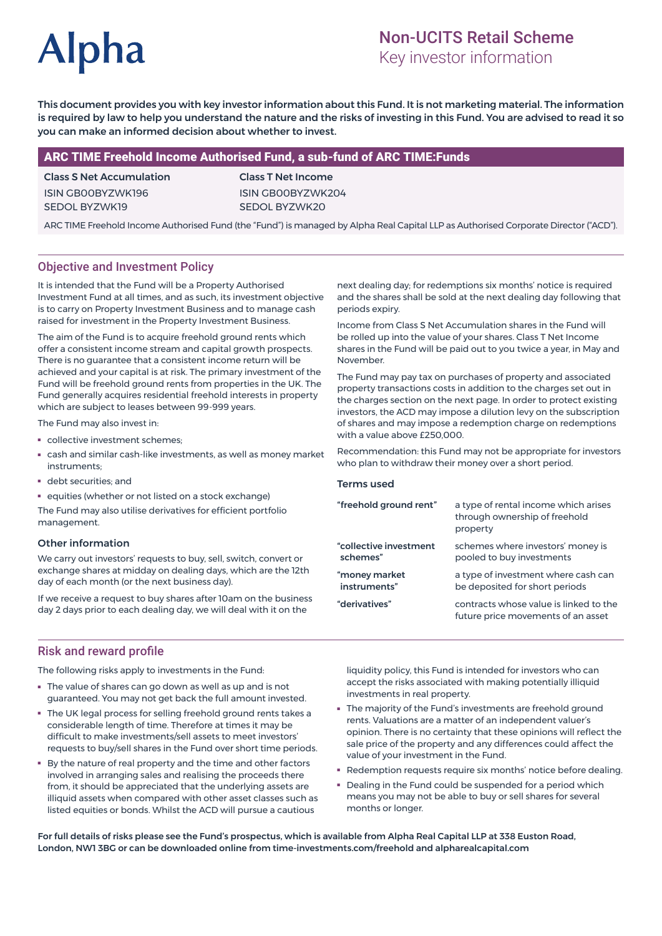# **Alpha**

## Non-UCITS Retail Scheme

Key investor information

This document provides you with key investor information about this Fund. It is not marketing material. The information is required by law to help you understand the nature and the risks of investing in this Fund. You are advised to read it so you can make an informed decision about whether to invest.

#### ARC TIME Freehold Income Authorised Fund, a sub-fund of ARC TIME:Funds

### Class S Net Accumulation ISIN GB00BYZWK196

SEDOL BYZWK19

Class T Net Income ISIN GB00BYZWK204 SEDOL BYZWK20

ARC TIME Freehold Income Authorised Fund (the "Fund") is managed by Alpha Real Capital LLP as Authorised Corporate Director ("ACD").

#### Objective and Investment Policy

It is intended that the Fund will be a Property Authorised Investment Fund at all times, and as such, its investment objective is to carry on Property Investment Business and to manage cash raised for investment in the Property Investment Business.

The aim of the Fund is to acquire freehold ground rents which offer a consistent income stream and capital growth prospects. There is no guarantee that a consistent income return will be achieved and your capital is at risk. The primary investment of the Fund will be freehold ground rents from properties in the UK. The Fund generally acquires residential freehold interests in property which are subject to leases between 99-999 years.

The Fund may also invest in:

- collective investment schemes;
- cash and similar cash-like investments, as well as money market instruments;
- debt securities; and
- equities (whether or not listed on a stock exchange)

The Fund may also utilise derivatives for efficient portfolio management.

#### Other information

We carry out investors' requests to buy, sell, switch, convert or exchange shares at midday on dealing days, which are the 12th day of each month (or the next business day).

If we receive a request to buy shares after 10am on the business day 2 days prior to each dealing day, we will deal with it on the

next dealing day; for redemptions six months' notice is required and the shares shall be sold at the next dealing day following that periods expiry.

Income from Class S Net Accumulation shares in the Fund will be rolled up into the value of your shares. Class T Net Income shares in the Fund will be paid out to you twice a year, in May and November.

The Fund may pay tax on purchases of property and associated property transactions costs in addition to the charges set out in the charges section on the next page. In order to protect existing investors, the ACD may impose a dilution levy on the subscription of shares and may impose a redemption charge on redemptions with a value above £250,000.

Recommendation: this Fund may not be appropriate for investors who plan to withdraw their money over a short period.

#### Terms used

| "freehold ground rent" | a type of rental income which arises<br>through ownership of freehold<br>property |
|------------------------|-----------------------------------------------------------------------------------|
| "collective investment | schemes where investors' money is                                                 |
| schemes"               | pooled to buy investments                                                         |
| "money market          | a type of investment where cash can                                               |
| instruments"           | be deposited for short periods                                                    |
| "derivatives"          | contracts whose value is linked to the<br>future price movements of an asset      |

#### Risk and reward profile

The following risks apply to investments in the Fund:

- The value of shares can go down as well as up and is not guaranteed. You may not get back the full amount invested.
- The UK legal process for selling freehold ground rents takes a considerable length of time. Therefore at times it may be difficult to make investments/sell assets to meet investors' requests to buy/sell shares in the Fund over short time periods.
- By the nature of real property and the time and other factors involved in arranging sales and realising the proceeds there from, it should be appreciated that the underlying assets are illiquid assets when compared with other asset classes such as listed equities or bonds. Whilst the ACD will pursue a cautious

liquidity policy, this Fund is intended for investors who can accept the risks associated with making potentially illiquid investments in real property.

- The majority of the Fund's investments are freehold ground rents. Valuations are a matter of an independent valuer's opinion. There is no certainty that these opinions will reflect the sale price of the property and any differences could affect the value of your investment in the Fund.
- Redemption requests require six months' notice before dealing.
- Dealing in the Fund could be suspended for a period which means you may not be able to buy or sell shares for several months or longer.

For full details of risks please see the Fund's prospectus, which is available from Alpha Real Capital LLP at 338 Euston Road, London, NW1 3BG or can be downloaded online from time-investments.com/freehold and alpharealcapital.com